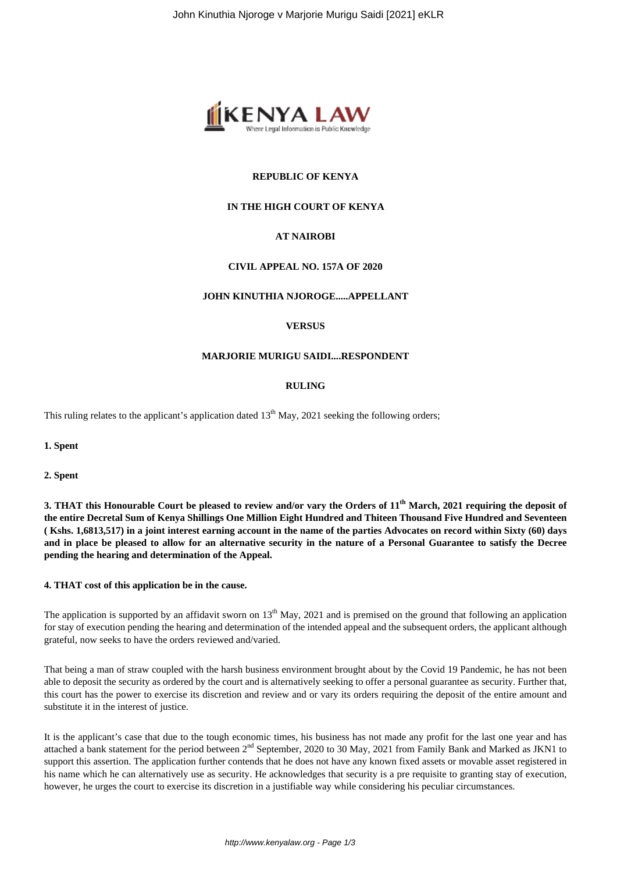

# **REPUBLIC OF KENYA**

## **IN THE HIGH COURT OF KENYA**

# **AT NAIROBI**

#### **CIVIL APPEAL NO. 157A OF 2020**

#### **JOHN KINUTHIA NJOROGE.....APPELLANT**

#### **VERSUS**

#### **MARJORIE MURIGU SAIDI....RESPONDENT**

#### **RULING**

This ruling relates to the applicant's application dated  $13<sup>th</sup>$  May, 2021 seeking the following orders;

**1. Spent**

**2. Spent**

**3. THAT this Honourable Court be pleased to review and/or vary the Orders of 11th March, 2021 requiring the deposit of the entire Decretal Sum of Kenya Shillings One Million Eight Hundred and Thiteen Thousand Five Hundred and Seventeen ( Kshs. 1,6813,517) in a joint interest earning account in the name of the parties Advocates on record within Sixty (60) days and in place be pleased to allow for an alternative security in the nature of a Personal Guarantee to satisfy the Decree pending the hearing and determination of the Appeal.** 

### **4. THAT cost of this application be in the cause.**

The application is supported by an affidavit sworn on  $13<sup>th</sup>$  May, 2021 and is premised on the ground that following an application for stay of execution pending the hearing and determination of the intended appeal and the subsequent orders, the applicant although grateful, now seeks to have the orders reviewed and/varied.

That being a man of straw coupled with the harsh business environment brought about by the Covid 19 Pandemic, he has not been able to deposit the security as ordered by the court and is alternatively seeking to offer a personal guarantee as security. Further that, this court has the power to exercise its discretion and review and or vary its orders requiring the deposit of the entire amount and substitute it in the interest of justice.

It is the applicant's case that due to the tough economic times, his business has not made any profit for the last one year and has attached a bank statement for the period between 2<sup>nd</sup> September, 2020 to 30 May, 2021 from Family Bank and Marked as JKN1 to support this assertion. The application further contends that he does not have any known fixed assets or movable asset registered in his name which he can alternatively use as security. He acknowledges that security is a pre requisite to granting stay of execution, however, he urges the court to exercise its discretion in a justifiable way while considering his peculiar circumstances.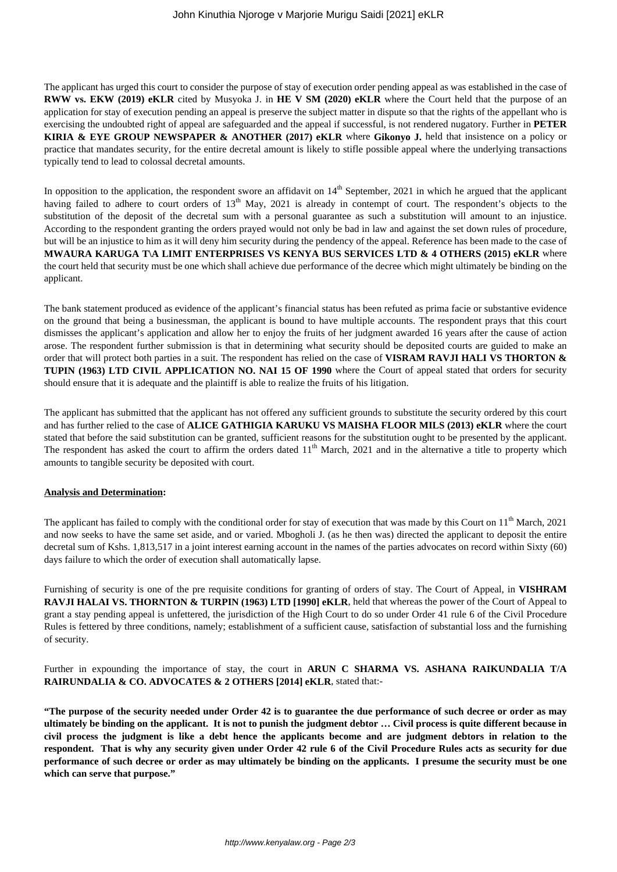The applicant has urged this court to consider the purpose of stay of execution order pending appeal as was established in the case of **RWW vs. EKW (2019) eKLR** cited by Musyoka J. in **HE V SM (2020) eKLR** where the Court held that the purpose of an application for stay of execution pending an appeal is preserve the subject matter in dispute so that the rights of the appellant who is exercising the undoubted right of appeal are safeguarded and the appeal if successful, is not rendered nugatory. Further in **PETER KIRIA & EYE GROUP NEWSPAPER & ANOTHER (2017) eKLR** where **Gikonyo J.** held that insistence on a policy or practice that mandates security, for the entire decretal amount is likely to stifle possible appeal where the underlying transactions typically tend to lead to colossal decretal amounts.

In opposition to the application, the respondent swore an affidavit on  $14<sup>th</sup>$  September, 2021 in which he argued that the applicant having failed to adhere to court orders of 13<sup>th</sup> May, 2021 is already in contempt of court. The respondent's objects to the substitution of the deposit of the decretal sum with a personal guarantee as such a substitution will amount to an injustice. According to the respondent granting the orders prayed would not only be bad in law and against the set down rules of procedure, but will be an injustice to him as it will deny him security during the pendency of the appeal. Reference has been made to the case of **MWAURA KARUGA T\A LIMIT ENTERPRISES VS KENYA BUS SERVICES LTD & 4 OTHERS (2015) eKLR** where the court held that security must be one which shall achieve due performance of the decree which might ultimately be binding on the applicant.

The bank statement produced as evidence of the applicant's financial status has been refuted as prima facie or substantive evidence on the ground that being a businessman, the applicant is bound to have multiple accounts. The respondent prays that this court dismisses the applicant's application and allow her to enjoy the fruits of her judgment awarded 16 years after the cause of action arose. The respondent further submission is that in determining what security should be deposited courts are guided to make an order that will protect both parties in a suit. The respondent has relied on the case of **VISRAM RAVJI HALI VS THORTON & TUPIN (1963) LTD CIVIL APPLICATION NO. NAI 15 OF 1990** where the Court of appeal stated that orders for security should ensure that it is adequate and the plaintiff is able to realize the fruits of his litigation.

The applicant has submitted that the applicant has not offered any sufficient grounds to substitute the security ordered by this court and has further relied to the case of **ALICE GATHIGIA KARUKU VS MAISHA FLOOR MILS (2013) eKLR** where the court stated that before the said substitution can be granted, sufficient reasons for the substitution ought to be presented by the applicant. The respondent has asked the court to affirm the orders dated  $11<sup>th</sup>$  March, 2021 and in the alternative a title to property which amounts to tangible security be deposited with court.

## **Analysis and Determination:**

The applicant has failed to comply with the conditional order for stay of execution that was made by this Court on  $11<sup>th</sup>$  March, 2021 and now seeks to have the same set aside, and or varied. Mbogholi J. (as he then was) directed the applicant to deposit the entire decretal sum of Kshs. 1,813,517 in a joint interest earning account in the names of the parties advocates on record within Sixty (60) days failure to which the order of execution shall automatically lapse.

Furnishing of security is one of the pre requisite conditions for granting of orders of stay. The Court of Appeal, in **VISHRAM RAVJI HALAI VS. THORNTON & TURPIN (1963) LTD [1990] eKLR**, held that whereas the power of the Court of Appeal to grant a stay pending appeal is unfettered, the jurisdiction of the High Court to do so under Order 41 rule 6 of the Civil Procedure Rules is fettered by three conditions, namely; establishment of a sufficient cause, satisfaction of substantial loss and the furnishing of security.

Further in expounding the importance of stay, the court in **ARUN C SHARMA VS. ASHANA RAIKUNDALIA T/A RAIRUNDALIA & CO. ADVOCATES & 2 OTHERS [2014] eKLR**, stated that:-

**"The purpose of the security needed under Order 42 is to guarantee the due performance of such decree or order as may ultimately be binding on the applicant. It is not to punish the judgment debtor … Civil process is quite different because in civil process the judgment is like a debt hence the applicants become and are judgment debtors in relation to the respondent. That is why any security given under Order 42 rule 6 of the Civil Procedure Rules acts as security for due performance of such decree or order as may ultimately be binding on the applicants. I presume the security must be one which can serve that purpose."**